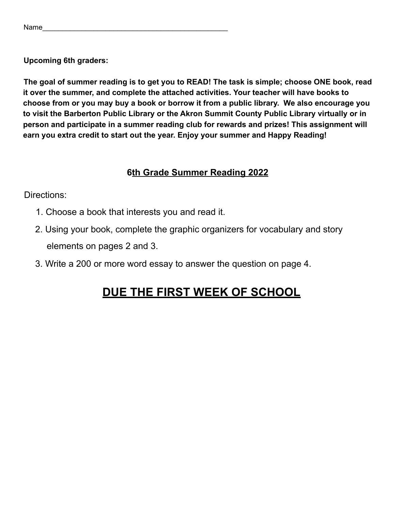**Upcoming 6th graders:**

**The goal of summer reading is to get you to READ! The task is simple; choose ONE book, read it over the summer, and complete the attached activities. Your teacher will have books to choose from or you may buy a book or borrow it from a public library. We also encourage you to visit the Barberton Public Library or the Akron Summit County Public Library virtually or in person and participate in a summer reading club for rewards and prizes! This assignment will earn you extra credit to start out the year. Enjoy your summer and Happy Reading!**

## **6th Grade Summer Reading 2022**

Directions:

- 1. Choose a book that interests you and read it.
- 2. Using your book, complete the graphic organizers for vocabulary and story elements on pages 2 and 3.
- 3. Write a 200 or more word essay to answer the question on page 4.

## **DUE THE FIRST WEEK OF SCHOOL**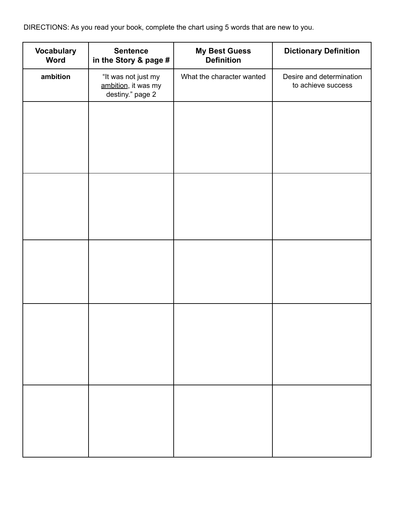DIRECTIONS: As you read your book, complete the chart using 5 words that are new to you.

| <b>Vocabulary</b><br><b>Word</b> | <b>Sentence</b><br>in the Story & page #                       | <b>My Best Guess</b><br><b>Definition</b> | <b>Dictionary Definition</b>                   |
|----------------------------------|----------------------------------------------------------------|-------------------------------------------|------------------------------------------------|
| ambition                         | "It was not just my<br>ambition, it was my<br>destiny." page 2 | What the character wanted                 | Desire and determination<br>to achieve success |
|                                  |                                                                |                                           |                                                |
|                                  |                                                                |                                           |                                                |
|                                  |                                                                |                                           |                                                |
|                                  |                                                                |                                           |                                                |
|                                  |                                                                |                                           |                                                |
|                                  |                                                                |                                           |                                                |
|                                  |                                                                |                                           |                                                |
|                                  |                                                                |                                           |                                                |
|                                  |                                                                |                                           |                                                |
|                                  |                                                                |                                           |                                                |
|                                  |                                                                |                                           |                                                |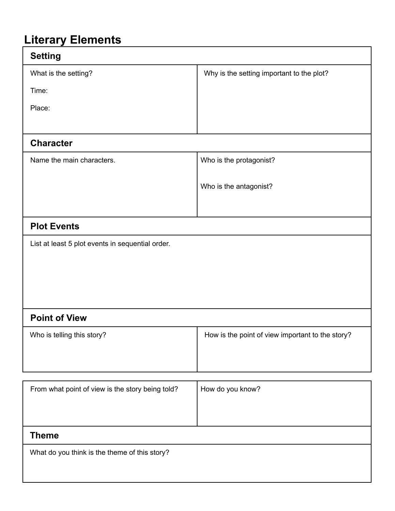## **Literary Elements**

| <b>Setting</b>                                   |                                                  |  |  |  |
|--------------------------------------------------|--------------------------------------------------|--|--|--|
| What is the setting?                             | Why is the setting important to the plot?        |  |  |  |
| Time:                                            |                                                  |  |  |  |
| Place:                                           |                                                  |  |  |  |
|                                                  |                                                  |  |  |  |
| <b>Character</b>                                 |                                                  |  |  |  |
| Name the main characters.                        | Who is the protagonist?                          |  |  |  |
|                                                  |                                                  |  |  |  |
|                                                  | Who is the antagonist?                           |  |  |  |
|                                                  |                                                  |  |  |  |
| <b>Plot Events</b>                               |                                                  |  |  |  |
| List at least 5 plot events in sequential order. |                                                  |  |  |  |
|                                                  |                                                  |  |  |  |
|                                                  |                                                  |  |  |  |
|                                                  |                                                  |  |  |  |
| <b>Point of View</b>                             |                                                  |  |  |  |
| Who is telling this story?                       | How is the point of view important to the story? |  |  |  |
|                                                  |                                                  |  |  |  |
|                                                  |                                                  |  |  |  |
| From what point of view is the story being told? | How do you know?                                 |  |  |  |
|                                                  |                                                  |  |  |  |
|                                                  |                                                  |  |  |  |
| <b>Theme</b>                                     |                                                  |  |  |  |
| What do you think is the theme of this story?    |                                                  |  |  |  |
|                                                  |                                                  |  |  |  |